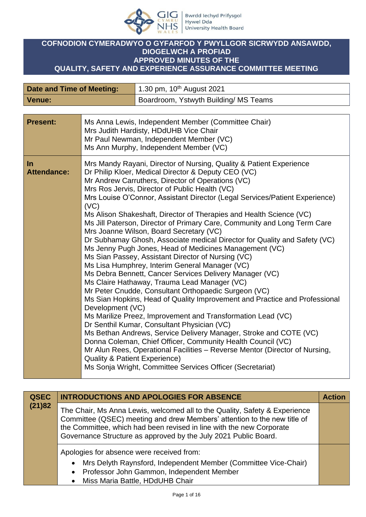

## **COFNODION CYMERADWYO O GYFARFOD Y PWYLLGOR SICRWYDD ANSAWDD, DIOGELWCH A PROFIAD APPROVED MINUTES OF THE QUALITY, SAFETY AND EXPERIENCE ASSURANCE COMMITTEE MEETING**

| Date and Time of Meeting: | 1.30 pm, 10 <sup>th</sup> August 2021 |
|---------------------------|---------------------------------------|
| Venue:                    | Boardroom, Ystwyth Building/ MS Teams |

| <b>Present:</b>             | Ms Anna Lewis, Independent Member (Committee Chair)<br>Mrs Judith Hardisty, HDdUHB Vice Chair<br>Mr Paul Newman, Independent Member (VC)<br>Ms Ann Murphy, Independent Member (VC)                                                                                                                                                                                                                                                                                                                                                                                                                                                                                                                                                                                                                                                                                                                                                                                                                                                                                                                                                                                                                                                                                                                                                                                                                                                                                                   |
|-----------------------------|--------------------------------------------------------------------------------------------------------------------------------------------------------------------------------------------------------------------------------------------------------------------------------------------------------------------------------------------------------------------------------------------------------------------------------------------------------------------------------------------------------------------------------------------------------------------------------------------------------------------------------------------------------------------------------------------------------------------------------------------------------------------------------------------------------------------------------------------------------------------------------------------------------------------------------------------------------------------------------------------------------------------------------------------------------------------------------------------------------------------------------------------------------------------------------------------------------------------------------------------------------------------------------------------------------------------------------------------------------------------------------------------------------------------------------------------------------------------------------------|
| $\ln$<br><b>Attendance:</b> | Mrs Mandy Rayani, Director of Nursing, Quality & Patient Experience<br>Dr Philip Kloer, Medical Director & Deputy CEO (VC)<br>Mr Andrew Carruthers, Director of Operations (VC)<br>Mrs Ros Jervis, Director of Public Health (VC)<br>Mrs Louise O'Connor, Assistant Director (Legal Services/Patient Experience)<br>(VC)<br>Ms Alison Shakeshaft, Director of Therapies and Health Science (VC)<br>Ms Jill Paterson, Director of Primary Care, Community and Long Term Care<br>Mrs Joanne Wilson, Board Secretary (VC)<br>Dr Subhamay Ghosh, Associate medical Director for Quality and Safety (VC)<br>Ms Jenny Pugh Jones, Head of Medicines Management (VC)<br>Ms Sian Passey, Assistant Director of Nursing (VC)<br>Ms Lisa Humphrey, Interim General Manager (VC)<br>Ms Debra Bennett, Cancer Services Delivery Manager (VC)<br>Ms Claire Hathaway, Trauma Lead Manager (VC)<br>Mr Peter Cnudde, Consultant Orthopaedic Surgeon (VC)<br>Ms Sian Hopkins, Head of Quality Improvement and Practice and Professional<br>Development (VC)<br>Ms Marilize Preez, Improvement and Transformation Lead (VC)<br>Dr Senthil Kumar, Consultant Physician (VC)<br>Ms Bethan Andrews, Service Delivery Manager, Stroke and COTE (VC)<br>Donna Coleman, Chief Officer, Community Health Council (VC)<br>Mr Alun Rees, Operational Facilities - Reverse Mentor (Director of Nursing,<br><b>Quality &amp; Patient Experience)</b><br>Ms Sonja Wright, Committee Services Officer (Secretariat) |

| <b>INTRODUCTIONS AND APOLOGIES FOR ABSENCE</b>                                                                                                                                                                                                                                                    | <b>Action</b>                     |
|---------------------------------------------------------------------------------------------------------------------------------------------------------------------------------------------------------------------------------------------------------------------------------------------------|-----------------------------------|
| The Chair, Ms Anna Lewis, welcomed all to the Quality, Safety & Experience<br>Committee (QSEC) meeting and drew Members' attention to the new title of<br>the Committee, which had been revised in line with the new Corporate<br>Governance Structure as approved by the July 2021 Public Board. |                                   |
| Apologies for absence were received from:<br>• Mrs Delyth Raynsford, Independent Member (Committee Vice-Chair)<br>• Professor John Gammon, Independent Member                                                                                                                                     |                                   |
|                                                                                                                                                                                                                                                                                                   | • Miss Maria Battle, HDdUHB Chair |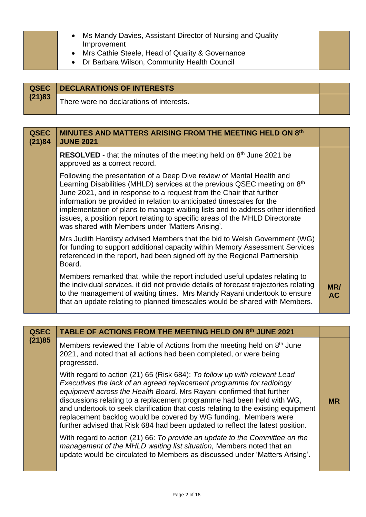| • Ms Mandy Davies, Assistant Director of Nursing and Quality<br>Improvement<br>• Mrs Cathie Steele, Head of Quality & Governance<br>• Dr Barbara Wilson, Community Health Council |  |
|-----------------------------------------------------------------------------------------------------------------------------------------------------------------------------------|--|
|-----------------------------------------------------------------------------------------------------------------------------------------------------------------------------------|--|

|        | <b>QSEC</b>   DECLARATIONS OF INTERESTS  |  |
|--------|------------------------------------------|--|
| (21)83 | There were no declarations of interests. |  |

| <b>QSEC</b><br>(21)84 | <b>MINUTES AND MATTERS ARISING FROM THE MEETING HELD ON 8th</b><br><b>JUNE 2021</b>                                                                                                                                                                                                                                                                                                                                                                                                                                       |                  |
|-----------------------|---------------------------------------------------------------------------------------------------------------------------------------------------------------------------------------------------------------------------------------------------------------------------------------------------------------------------------------------------------------------------------------------------------------------------------------------------------------------------------------------------------------------------|------------------|
|                       | <b>RESOLVED</b> - that the minutes of the meeting held on $8th$ June 2021 be<br>approved as a correct record.                                                                                                                                                                                                                                                                                                                                                                                                             |                  |
|                       | Following the presentation of a Deep Dive review of Mental Health and<br>Learning Disabilities (MHLD) services at the previous QSEC meeting on 8th<br>June 2021, and in response to a request from the Chair that further<br>information be provided in relation to anticipated timescales for the<br>implementation of plans to manage waiting lists and to address other identified<br>issues, a position report relating to specific areas of the MHLD Directorate<br>was shared with Members under 'Matters Arising'. |                  |
|                       | Mrs Judith Hardisty advised Members that the bid to Welsh Government (WG)<br>for funding to support additional capacity within Memory Assessment Services<br>referenced in the report, had been signed off by the Regional Partnership<br>Board.                                                                                                                                                                                                                                                                          |                  |
|                       | Members remarked that, while the report included useful updates relating to<br>the individual services, it did not provide details of forecast trajectories relating<br>to the management of waiting times. Mrs Mandy Rayani undertook to ensure<br>that an update relating to planned timescales would be shared with Members.                                                                                                                                                                                           | MR/<br><b>AC</b> |

| <b>QSEC</b> | TABLE OF ACTIONS FROM THE MEETING HELD ON 8th JUNE 2021                                                                                                                                                                                                                                                                                                                                                                                                                                                                                        |           |
|-------------|------------------------------------------------------------------------------------------------------------------------------------------------------------------------------------------------------------------------------------------------------------------------------------------------------------------------------------------------------------------------------------------------------------------------------------------------------------------------------------------------------------------------------------------------|-----------|
| (21)85      | Members reviewed the Table of Actions from the meeting held on 8 <sup>th</sup> June<br>2021, and noted that all actions had been completed, or were being<br>progressed.                                                                                                                                                                                                                                                                                                                                                                       |           |
|             | With regard to action (21) 65 (Risk 684): To follow up with relevant Lead<br>Executives the lack of an agreed replacement programme for radiology<br>equipment across the Health Board, Mrs Rayani confirmed that further<br>discussions relating to a replacement programme had been held with WG,<br>and undertook to seek clarification that costs relating to the existing equipment<br>replacement backlog would be covered by WG funding. Members were<br>further advised that Risk 684 had been updated to reflect the latest position. | <b>MR</b> |
|             | With regard to action (21) 66: To provide an update to the Committee on the<br>management of the MHLD waiting list situation, Members noted that an<br>update would be circulated to Members as discussed under 'Matters Arising'.                                                                                                                                                                                                                                                                                                             |           |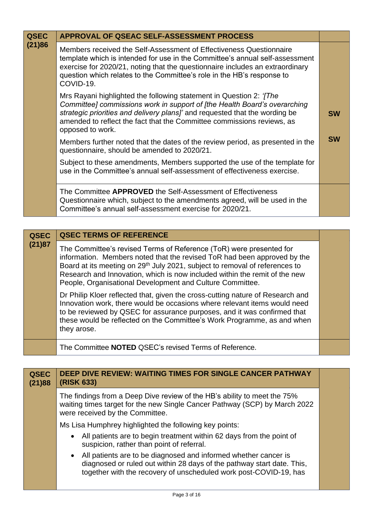| <b>QSEC</b> | APPROVAL OF QSEAC SELF-ASSESSMENT PROCESS                                                                                                                                                                                                                                                                                             |           |
|-------------|---------------------------------------------------------------------------------------------------------------------------------------------------------------------------------------------------------------------------------------------------------------------------------------------------------------------------------------|-----------|
| (21)86      | Members received the Self-Assessment of Effectiveness Questionnaire<br>template which is intended for use in the Committee's annual self-assessment<br>exercise for 2020/21, noting that the questionnaire includes an extraordinary<br>question which relates to the Committee's role in the HB's response to<br>COVID-19.           |           |
|             | Mrs Rayani highlighted the following statement in Question 2: ' <i>[The</i><br>Committee] commissions work in support of [the Health Board's overarching<br>strategic priorities and delivery plans]' and requested that the wording be<br>amended to reflect the fact that the Committee commissions reviews, as<br>opposed to work. | <b>SW</b> |
|             | Members further noted that the dates of the review period, as presented in the<br>questionnaire, should be amended to 2020/21.                                                                                                                                                                                                        | <b>SW</b> |
|             | Subject to these amendments, Members supported the use of the template for<br>use in the Committee's annual self-assessment of effectiveness exercise.                                                                                                                                                                                |           |
|             | The Committee APPROVED the Self-Assessment of Effectiveness<br>Questionnaire which, subject to the amendments agreed, will be used in the<br>Committee's annual self-assessment exercise for 2020/21.                                                                                                                                 |           |

| <b>QSEC</b> | <b>QSEC TERMS OF REFERENCE</b>                                                                                                                                                                                                                                                                                                                                                        |
|-------------|---------------------------------------------------------------------------------------------------------------------------------------------------------------------------------------------------------------------------------------------------------------------------------------------------------------------------------------------------------------------------------------|
| (21)87      | The Committee's revised Terms of Reference (ToR) were presented for<br>information. Members noted that the revised ToR had been approved by the<br>Board at its meeting on 29 <sup>th</sup> July 2021, subject to removal of references to<br>Research and Innovation, which is now included within the remit of the new<br>People, Organisational Development and Culture Committee. |
|             | Dr Philip Kloer reflected that, given the cross-cutting nature of Research and<br>Innovation work, there would be occasions where relevant items would need<br>to be reviewed by QSEC for assurance purposes, and it was confirmed that<br>these would be reflected on the Committee's Work Programme, as and when<br>they arose.                                                     |
|             | The Committee NOTED QSEC's revised Terms of Reference.                                                                                                                                                                                                                                                                                                                                |

| <b>QSEC</b><br>(21)88 | <b>DEEP DIVE REVIEW: WAITING TIMES FOR SINGLE CANCER PATHWAY</b><br>(RISK 633)                                                                                                                                   |  |
|-----------------------|------------------------------------------------------------------------------------------------------------------------------------------------------------------------------------------------------------------|--|
|                       | The findings from a Deep Dive review of the HB's ability to meet the 75%<br>waiting times target for the new Single Cancer Pathway (SCP) by March 2022<br>were received by the Committee.                        |  |
|                       | Ms Lisa Humphrey highlighted the following key points:                                                                                                                                                           |  |
|                       | • All patients are to begin treatment within 62 days from the point of<br>suspicion, rather than point of referral.                                                                                              |  |
|                       | • All patients are to be diagnosed and informed whether cancer is<br>diagnosed or ruled out within 28 days of the pathway start date. This,<br>together with the recovery of unscheduled work post-COVID-19, has |  |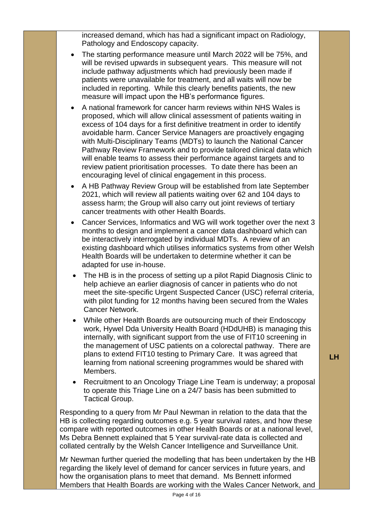increased demand, which has had a significant impact on Radiology, Pathology and Endoscopy capacity.

- The starting performance measure until March 2022 will be 75%, and will be revised upwards in subsequent years. This measure will not include pathway adjustments which had previously been made if patients were unavailable for treatment, and all waits will now be included in reporting. While this clearly benefits patients, the new measure will impact upon the HB's performance figures.
- A national framework for cancer harm reviews within NHS Wales is proposed, which will allow clinical assessment of patients waiting in excess of 104 days for a first definitive treatment in order to identify avoidable harm. Cancer Service Managers are proactively engaging with Multi-Disciplinary Teams (MDTs) to launch the National Cancer Pathway Review Framework and to provide tailored clinical data which will enable teams to assess their performance against targets and to review patient prioritisation processes. To date there has been an encouraging level of clinical engagement in this process.
- A HB Pathway Review Group will be established from late September 2021, which will review all patients waiting over 62 and 104 days to assess harm; the Group will also carry out joint reviews of tertiary cancer treatments with other Health Boards.
- Cancer Services, Informatics and WG will work together over the next 3 months to design and implement a cancer data dashboard which can be interactively interrogated by individual MDTs. A review of an existing dashboard which utilises informatics systems from other Welsh Health Boards will be undertaken to determine whether it can be adapted for use in-house.
- The HB is in the process of setting up a pilot Rapid Diagnosis Clinic to help achieve an earlier diagnosis of cancer in patients who do not meet the site-specific Urgent Suspected Cancer (USC) referral criteria, with pilot funding for 12 months having been secured from the Wales Cancer Network.
- While other Health Boards are outsourcing much of their Endoscopy work, Hywel Dda University Health Board (HDdUHB) is managing this internally, with significant support from the use of FIT10 screening in the management of USC patients on a colorectal pathway. There are plans to extend FIT10 testing to Primary Care. It was agreed that learning from national screening programmes would be shared with Members.
- Recruitment to an Oncology Triage Line Team is underway; a proposal to operate this Triage Line on a 24/7 basis has been submitted to Tactical Group.

Responding to a query from Mr Paul Newman in relation to the data that the HB is collecting regarding outcomes e.g. 5 year survival rates, and how these compare with reported outcomes in other Health Boards or at a national level, Ms Debra Bennett explained that 5 Year survival-rate data is collected and collated centrally by the Welsh Cancer Intelligence and Surveillance Unit.

Mr Newman further queried the modelling that has been undertaken by the HB regarding the likely level of demand for cancer services in future years, and how the organisation plans to meet that demand. Ms Bennett informed Members that Health Boards are working with the Wales Cancer Network, and **LH**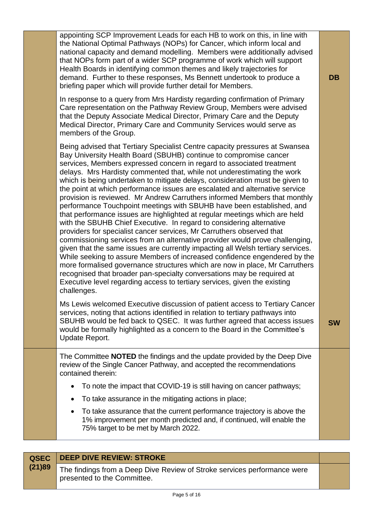| appointing SCP Improvement Leads for each HB to work on this, in line with<br>the National Optimal Pathways (NOPs) for Cancer, which inform local and<br>national capacity and demand modelling. Members were additionally advised<br>that NOPs form part of a wider SCP programme of work which will support<br>Health Boards in identifying common themes and likely trajectories for<br>demand. Further to these responses, Ms Bennett undertook to produce a<br><b>DB</b><br>briefing paper which will provide further detail for Members.<br>In response to a query from Mrs Hardisty regarding confirmation of Primary<br>Care representation on the Pathway Review Group, Members were advised<br>that the Deputy Associate Medical Director, Primary Care and the Deputy<br>Medical Director, Primary Care and Community Services would serve as<br>members of the Group.<br>Being advised that Tertiary Specialist Centre capacity pressures at Swansea<br>Bay University Health Board (SBUHB) continue to compromise cancer<br>services, Members expressed concern in regard to associated treatment<br>delays. Mrs Hardisty commented that, while not underestimating the work<br>which is being undertaken to mitigate delays, consideration must be given to<br>the point at which performance issues are escalated and alternative service<br>provision is reviewed. Mr Andrew Carruthers informed Members that monthly<br>performance Touchpoint meetings with SBUHB have been established, and<br>that performance issues are highlighted at regular meetings which are held<br>with the SBUHB Chief Executive. In regard to considering alternative<br>providers for specialist cancer services, Mr Carruthers observed that<br>commissioning services from an alternative provider would prove challenging,<br>given that the same issues are currently impacting all Welsh tertiary services.<br>While seeking to assure Members of increased confidence engendered by the<br>more formalised governance structures which are now in place, Mr Carruthers<br>recognised that broader pan-specialty conversations may be required at<br>Executive level regarding access to tertiary services, given the existing<br>challenges.<br>Ms Lewis welcomed Executive discussion of patient access to Tertiary Cancer<br>services, noting that actions identified in relation to tertiary pathways into<br>SBUHB would be fed back to QSEC. It was further agreed that access issues<br><b>SW</b><br>would be formally highlighted as a concern to the Board in the Committee's<br>Update Report.<br>The Committee <b>NOTED</b> the findings and the update provided by the Deep Dive<br>review of the Single Cancer Pathway, and accepted the recommendations<br>contained therein:<br>To note the impact that COVID-19 is still having on cancer pathways;<br>To take assurance in the mitigating actions in place;<br>$\bullet$<br>To take assurance that the current performance trajectory is above the<br>1% improvement per month predicted and, if continued, will enable the |                                     |  |
|---------------------------------------------------------------------------------------------------------------------------------------------------------------------------------------------------------------------------------------------------------------------------------------------------------------------------------------------------------------------------------------------------------------------------------------------------------------------------------------------------------------------------------------------------------------------------------------------------------------------------------------------------------------------------------------------------------------------------------------------------------------------------------------------------------------------------------------------------------------------------------------------------------------------------------------------------------------------------------------------------------------------------------------------------------------------------------------------------------------------------------------------------------------------------------------------------------------------------------------------------------------------------------------------------------------------------------------------------------------------------------------------------------------------------------------------------------------------------------------------------------------------------------------------------------------------------------------------------------------------------------------------------------------------------------------------------------------------------------------------------------------------------------------------------------------------------------------------------------------------------------------------------------------------------------------------------------------------------------------------------------------------------------------------------------------------------------------------------------------------------------------------------------------------------------------------------------------------------------------------------------------------------------------------------------------------------------------------------------------------------------------------------------------------------------------------------------------------------------------------------------------------------------------------------------------------------------------------------------------------------------------------------------------------------------------------------------------------------------------------------------------------------------------------------------------------------------------------------------------------------------------------------------------------------------------------------------------------------------------------------------------------------------------------------------------------------------------------------|-------------------------------------|--|
|                                                                                                                                                                                                                                                                                                                                                                                                                                                                                                                                                                                                                                                                                                                                                                                                                                                                                                                                                                                                                                                                                                                                                                                                                                                                                                                                                                                                                                                                                                                                                                                                                                                                                                                                                                                                                                                                                                                                                                                                                                                                                                                                                                                                                                                                                                                                                                                                                                                                                                                                                                                                                                                                                                                                                                                                                                                                                                                                                                                                                                                                                                   |                                     |  |
|                                                                                                                                                                                                                                                                                                                                                                                                                                                                                                                                                                                                                                                                                                                                                                                                                                                                                                                                                                                                                                                                                                                                                                                                                                                                                                                                                                                                                                                                                                                                                                                                                                                                                                                                                                                                                                                                                                                                                                                                                                                                                                                                                                                                                                                                                                                                                                                                                                                                                                                                                                                                                                                                                                                                                                                                                                                                                                                                                                                                                                                                                                   |                                     |  |
|                                                                                                                                                                                                                                                                                                                                                                                                                                                                                                                                                                                                                                                                                                                                                                                                                                                                                                                                                                                                                                                                                                                                                                                                                                                                                                                                                                                                                                                                                                                                                                                                                                                                                                                                                                                                                                                                                                                                                                                                                                                                                                                                                                                                                                                                                                                                                                                                                                                                                                                                                                                                                                                                                                                                                                                                                                                                                                                                                                                                                                                                                                   |                                     |  |
|                                                                                                                                                                                                                                                                                                                                                                                                                                                                                                                                                                                                                                                                                                                                                                                                                                                                                                                                                                                                                                                                                                                                                                                                                                                                                                                                                                                                                                                                                                                                                                                                                                                                                                                                                                                                                                                                                                                                                                                                                                                                                                                                                                                                                                                                                                                                                                                                                                                                                                                                                                                                                                                                                                                                                                                                                                                                                                                                                                                                                                                                                                   | 75% target to be met by March 2022. |  |

|        | <b>QSEC</b> DEEP DIVE REVIEW: STROKE                                                                    |  |
|--------|---------------------------------------------------------------------------------------------------------|--|
| (21)89 | The findings from a Deep Dive Review of Stroke services performance were<br>presented to the Committee. |  |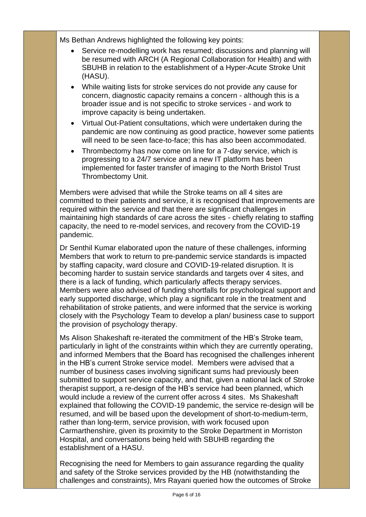Ms Bethan Andrews highlighted the following key points:

- Service re-modelling work has resumed; discussions and planning will be resumed with ARCH (A Regional Collaboration for Health) and with SBUHB in relation to the establishment of a Hyper-Acute Stroke Unit (HASU).
- While waiting lists for stroke services do not provide any cause for concern, diagnostic capacity remains a concern - although this is a broader issue and is not specific to stroke services - and work to improve capacity is being undertaken.
- Virtual Out-Patient consultations, which were undertaken during the pandemic are now continuing as good practice, however some patients will need to be seen face-to-face; this has also been accommodated.
- Thrombectomy has now come on line for a 7-day service, which is progressing to a 24/7 service and a new IT platform has been implemented for faster transfer of imaging to the North Bristol Trust Thrombectomy Unit.

Members were advised that while the Stroke teams on all 4 sites are committed to their patients and service, it is recognised that improvements are required within the service and that there are significant challenges in maintaining high standards of care across the sites - chiefly relating to staffing capacity, the need to re-model services, and recovery from the COVID-19 pandemic.

Dr Senthil Kumar elaborated upon the nature of these challenges, informing Members that work to return to pre-pandemic service standards is impacted by staffing capacity, ward closure and COVID-19-related disruption. It is becoming harder to sustain service standards and targets over 4 sites, and there is a lack of funding, which particularly affects therapy services. Members were also advised of funding shortfalls for psychological support and early supported discharge, which play a significant role in the treatment and rehabilitation of stroke patients, and were informed that the service is working closely with the Psychology Team to develop a plan/ business case to support the provision of psychology therapy.

Ms Alison Shakeshaft re-iterated the commitment of the HB's Stroke team, particularly in light of the constraints within which they are currently operating, and informed Members that the Board has recognised the challenges inherent in the HB's current Stroke service model. Members were advised that a number of business cases involving significant sums had previously been submitted to support service capacity, and that, given a national lack of Stroke therapist support, a re-design of the HB's service had been planned, which would include a review of the current offer across 4 sites. Ms Shakeshaft explained that following the COVID-19 pandemic, the service re-design will be resumed, and will be based upon the development of short-to-medium-term, rather than long-term, service provision, with work focused upon Carmarthenshire, given its proximity to the Stroke Department in Morriston Hospital, and conversations being held with SBUHB regarding the establishment of a HASU.

Recognising the need for Members to gain assurance regarding the quality and safety of the Stroke services provided by the HB (notwithstanding the challenges and constraints), Mrs Rayani queried how the outcomes of Stroke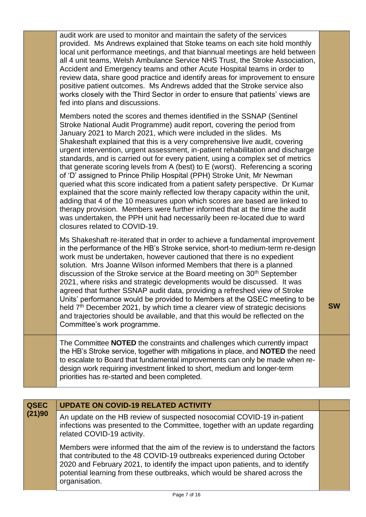| audit work are used to monitor and maintain the safety of the services<br>provided. Ms Andrews explained that Stoke teams on each site hold monthly<br>local unit performance meetings, and that biannual meetings are held between<br>all 4 unit teams, Welsh Ambulance Service NHS Trust, the Stroke Association,<br>Accident and Emergency teams and other Acute Hospital teams in order to<br>review data, share good practice and identify areas for improvement to ensure<br>positive patient outcomes. Ms Andrews added that the Stroke service also<br>works closely with the Third Sector in order to ensure that patients' views are<br>fed into plans and discussions.                                                                                                                                                                                                                                                                                                                                                                                                    |           |
|--------------------------------------------------------------------------------------------------------------------------------------------------------------------------------------------------------------------------------------------------------------------------------------------------------------------------------------------------------------------------------------------------------------------------------------------------------------------------------------------------------------------------------------------------------------------------------------------------------------------------------------------------------------------------------------------------------------------------------------------------------------------------------------------------------------------------------------------------------------------------------------------------------------------------------------------------------------------------------------------------------------------------------------------------------------------------------------|-----------|
| Members noted the scores and themes identified in the SSNAP (Sentinel<br>Stroke National Audit Programme) audit report, covering the period from<br>January 2021 to March 2021, which were included in the slides. Ms<br>Shakeshaft explained that this is a very comprehensive live audit, covering<br>urgent intervention, urgent assessment, in-patient rehabilitation and discharge<br>standards, and is carried out for every patient, using a complex set of metrics<br>that generate scoring levels from A (best) to E (worst). Referencing a scoring<br>of 'D' assigned to Prince Philip Hospital (PPH) Stroke Unit, Mr Newman<br>queried what this score indicated from a patient safety perspective. Dr Kumar<br>explained that the score mainly reflected low therapy capacity within the unit,<br>adding that 4 of the 10 measures upon which scores are based are linked to<br>therapy provision. Members were further informed that at the time the audit<br>was undertaken, the PPH unit had necessarily been re-located due to ward<br>closures related to COVID-19. |           |
| Ms Shakeshaft re-iterated that in order to achieve a fundamental improvement<br>in the performance of the HB's Stroke service, short-to medium-term re-design<br>work must be undertaken, however cautioned that there is no expedient<br>solution. Mrs Joanne Wilson informed Members that there is a planned<br>discussion of the Stroke service at the Board meeting on 30 <sup>th</sup> September<br>2021, where risks and strategic developments would be discussed. It was<br>agreed that further SSNAP audit data, providing a refreshed view of Stroke<br>Units' performance would be provided to Members at the QSEC meeting to be<br>held $7th$ December 2021, by which time a clearer view of strategic decisions<br>and trajectories should be available, and that this would be reflected on the<br>Committee's work programme.                                                                                                                                                                                                                                         | <b>SW</b> |
| The Committee <b>NOTED</b> the constraints and challenges which currently impact<br>the HB's Stroke service, together with mitigations in place, and NOTED the need<br>to escalate to Board that fundamental improvements can only be made when re-<br>design work requiring investment linked to short, medium and longer-term<br>priorities has re-started and been completed.                                                                                                                                                                                                                                                                                                                                                                                                                                                                                                                                                                                                                                                                                                     |           |

| <b>QSEC</b> | <b>UPDATE ON COVID-19 RELATED ACTIVITY</b>                                                                                                                                                                                                                                                                                               |  |
|-------------|------------------------------------------------------------------------------------------------------------------------------------------------------------------------------------------------------------------------------------------------------------------------------------------------------------------------------------------|--|
| (21)90      | An update on the HB review of suspected nosocomial COVID-19 in-patient<br>infections was presented to the Committee, together with an update regarding<br>related COVID-19 activity.                                                                                                                                                     |  |
|             | Members were informed that the aim of the review is to understand the factors<br>that contributed to the 48 COVID-19 outbreaks experienced during October<br>2020 and February 2021, to identify the impact upon patients, and to identify<br>potential learning from these outbreaks, which would be shared across the<br>organisation. |  |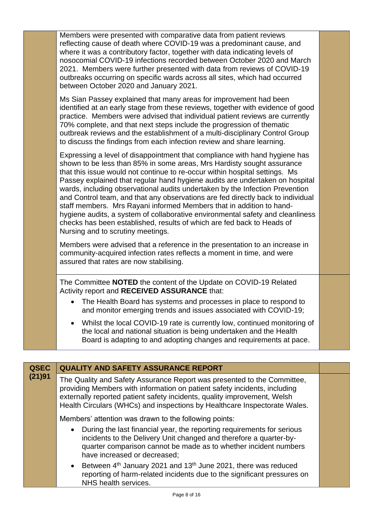| Members were presented with comparative data from patient reviews<br>reflecting cause of death where COVID-19 was a predominant cause, and<br>where it was a contributory factor, together with data indicating levels of<br>nosocomial COVID-19 infections recorded between October 2020 and March<br>2021. Members were further presented with data from reviews of COVID-19<br>outbreaks occurring on specific wards across all sites, which had occurred<br>between October 2020 and January 2021.                                                                                                                                                                                                                                                          |  |
|-----------------------------------------------------------------------------------------------------------------------------------------------------------------------------------------------------------------------------------------------------------------------------------------------------------------------------------------------------------------------------------------------------------------------------------------------------------------------------------------------------------------------------------------------------------------------------------------------------------------------------------------------------------------------------------------------------------------------------------------------------------------|--|
| Ms Sian Passey explained that many areas for improvement had been<br>identified at an early stage from these reviews, together with evidence of good<br>practice. Members were advised that individual patient reviews are currently<br>70% complete, and that next steps include the progression of thematic<br>outbreak reviews and the establishment of a multi-disciplinary Control Group<br>to discuss the findings from each infection review and share learning.                                                                                                                                                                                                                                                                                         |  |
| Expressing a level of disappointment that compliance with hand hygiene has<br>shown to be less than 85% in some areas, Mrs Hardisty sought assurance<br>that this issue would not continue to re-occur within hospital settings. Ms<br>Passey explained that regular hand hygiene audits are undertaken on hospital<br>wards, including observational audits undertaken by the Infection Prevention<br>and Control team, and that any observations are fed directly back to individual<br>staff members. Mrs Rayani informed Members that in addition to hand-<br>hygiene audits, a system of collaborative environmental safety and cleanliness<br>checks has been established, results of which are fed back to Heads of<br>Nursing and to scrutiny meetings. |  |
| Members were advised that a reference in the presentation to an increase in<br>community-acquired infection rates reflects a moment in time, and were<br>assured that rates are now stabilising.                                                                                                                                                                                                                                                                                                                                                                                                                                                                                                                                                                |  |
| The Committee <b>NOTED</b> the content of the Update on COVID-19 Related<br>Activity report and RECEIVED ASSURANCE that:                                                                                                                                                                                                                                                                                                                                                                                                                                                                                                                                                                                                                                        |  |
| • The Health Board has systems and processes in place to respond to<br>and monitor emerging trends and issues associated with COVID-19;                                                                                                                                                                                                                                                                                                                                                                                                                                                                                                                                                                                                                         |  |
| Whilst the local COVID-19 rate is currently low, continued monitoring of<br>the local and national situation is being undertaken and the Health<br>Board is adapting to and adopting changes and requirements at pace.                                                                                                                                                                                                                                                                                                                                                                                                                                                                                                                                          |  |
|                                                                                                                                                                                                                                                                                                                                                                                                                                                                                                                                                                                                                                                                                                                                                                 |  |

| <b>QSEC</b> | <b>QUALITY AND SAFETY ASSURANCE REPORT</b>                                                                                                                                                                                                                                                                    |  |
|-------------|---------------------------------------------------------------------------------------------------------------------------------------------------------------------------------------------------------------------------------------------------------------------------------------------------------------|--|
| (21)91      | The Quality and Safety Assurance Report was presented to the Committee,<br>providing Members with information on patient safety incidents, including<br>externally reported patient safety incidents, quality improvement, Welsh<br>Health Circulars (WHCs) and inspections by Healthcare Inspectorate Wales. |  |
|             | Members' attention was drawn to the following points:                                                                                                                                                                                                                                                         |  |
|             | During the last financial year, the reporting requirements for serious<br>$\bullet$<br>incidents to the Delivery Unit changed and therefore a quarter-by-<br>quarter comparison cannot be made as to whether incident numbers<br>have increased or decreased;                                                 |  |
|             | • Between $4th$ January 2021 and 13 <sup>th</sup> June 2021, there was reduced<br>reporting of harm-related incidents due to the significant pressures on<br>NHS health services.                                                                                                                             |  |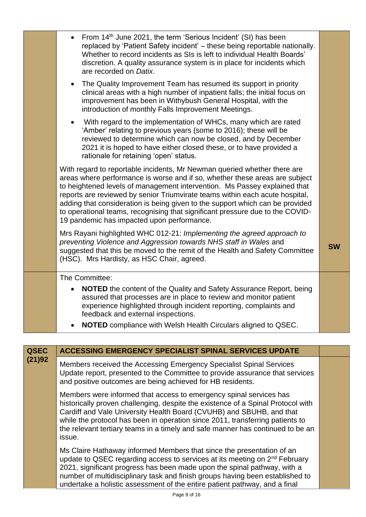| From 14 <sup>th</sup> June 2021, the term 'Serious Incident' (SI) has been<br>replaced by 'Patient Safety incident' - these being reportable nationally.<br>Whether to record incidents as SIs is left to individual Health Boards'<br>discretion. A quality assurance system is in place for incidents which<br>are recorded on Datix.<br>The Quality Improvement Team has resumed its support in priority<br>clinical areas with a high number of inpatient falls; the initial focus on<br>improvement has been in Withybush General Hospital, with the<br>introduction of monthly Falls Improvement Meetings.<br>With regard to the implementation of WHCs, many which are rated<br>'Amber' relating to previous years (some to 2016); these will be<br>reviewed to determine which can now be closed, and by December |           |
|---------------------------------------------------------------------------------------------------------------------------------------------------------------------------------------------------------------------------------------------------------------------------------------------------------------------------------------------------------------------------------------------------------------------------------------------------------------------------------------------------------------------------------------------------------------------------------------------------------------------------------------------------------------------------------------------------------------------------------------------------------------------------------------------------------------------------|-----------|
| 2021 it is hoped to have either closed these, or to have provided a<br>rationale for retaining 'open' status.<br>With regard to reportable incidents, Mr Newman queried whether there are<br>areas where performance is worse and if so, whether these areas are subject<br>to heightened levels of management intervention. Ms Passey explained that<br>reports are reviewed by senior Triumvirate teams within each acute hospital,<br>adding that consideration is being given to the support which can be provided<br>to operational teams, recognising that significant pressure due to the COVID-<br>19 pandemic has impacted upon performance.                                                                                                                                                                     |           |
| Mrs Rayani highlighted WHC 012-21: Implementing the agreed approach to<br>preventing Violence and Aggression towards NHS staff in Wales and<br>suggested that this be moved to the remit of the Health and Safety Committee<br>(HSC). Mrs Hardisty, as HSC Chair, agreed.                                                                                                                                                                                                                                                                                                                                                                                                                                                                                                                                                 | <b>SW</b> |
| The Committee:<br><b>NOTED</b> the content of the Quality and Safety Assurance Report, being<br>$\bullet$<br>assured that processes are in place to review and monitor patient<br>experience highlighted through incident reporting, complaints and<br>feedback and external inspections.<br>NOTED compliance with Welsh Health Circulars aligned to QSEC.                                                                                                                                                                                                                                                                                                                                                                                                                                                                |           |

| <b>QSEC</b> | <b>ACCESSING EMERGENCY SPECIALIST SPINAL SERVICES UPDATE</b>                                                                                                                                                                                                                                                                                                                                                |  |
|-------------|-------------------------------------------------------------------------------------------------------------------------------------------------------------------------------------------------------------------------------------------------------------------------------------------------------------------------------------------------------------------------------------------------------------|--|
| (21)92      | Members received the Accessing Emergency Specialist Spinal Services<br>Update report, presented to the Committee to provide assurance that services<br>and positive outcomes are being achieved for HB residents.                                                                                                                                                                                           |  |
|             | Members were informed that access to emergency spinal services has<br>historically proven challenging, despite the existence of a Spinal Protocol with<br>Cardiff and Vale University Health Board (CVUHB) and SBUHB, and that<br>while the protocol has been in operation since 2011, transferring patients to<br>the relevant tertiary teams in a timely and safe manner has continued to be an<br>issue. |  |
|             | Ms Claire Hathaway informed Members that since the presentation of an<br>update to QSEC regarding access to services at its meeting on 2 <sup>nd</sup> February<br>2021, significant progress has been made upon the spinal pathway, with a<br>number of multidisciplinary task and finish groups having been established to<br>undertake a holistic assessment of the entire patient pathway, and a final  |  |
|             |                                                                                                                                                                                                                                                                                                                                                                                                             |  |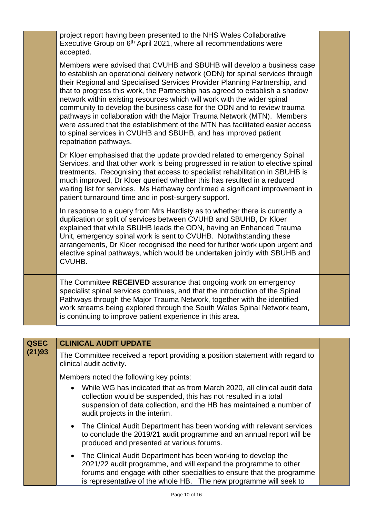|             | project report having been presented to the NHS Wales Collaborative<br>Executive Group on 6 <sup>th</sup> April 2021, where all recommendations were<br>accepted.                                                                                                                                                                                                                                                                                                                                                                                                                                                                                                                                                                   |  |
|-------------|-------------------------------------------------------------------------------------------------------------------------------------------------------------------------------------------------------------------------------------------------------------------------------------------------------------------------------------------------------------------------------------------------------------------------------------------------------------------------------------------------------------------------------------------------------------------------------------------------------------------------------------------------------------------------------------------------------------------------------------|--|
|             | Members were advised that CVUHB and SBUHB will develop a business case<br>to establish an operational delivery network (ODN) for spinal services through<br>their Regional and Specialised Services Provider Planning Partnership, and<br>that to progress this work, the Partnership has agreed to establish a shadow<br>network within existing resources which will work with the wider spinal<br>community to develop the business case for the ODN and to review trauma<br>pathways in collaboration with the Major Trauma Network (MTN). Members<br>were assured that the establishment of the MTN has facilitated easier access<br>to spinal services in CVUHB and SBUHB, and has improved patient<br>repatriation pathways. |  |
|             | Dr Kloer emphasised that the update provided related to emergency Spinal<br>Services, and that other work is being progressed in relation to elective spinal<br>treatments. Recognising that access to specialist rehabilitation in SBUHB is<br>much improved, Dr Kloer queried whether this has resulted in a reduced<br>waiting list for services. Ms Hathaway confirmed a significant improvement in<br>patient turnaround time and in post-surgery support.                                                                                                                                                                                                                                                                     |  |
|             | In response to a query from Mrs Hardisty as to whether there is currently a<br>duplication or split of services between CVUHB and SBUHB, Dr Kloer<br>explained that while SBUHB leads the ODN, having an Enhanced Trauma<br>Unit, emergency spinal work is sent to CVUHB. Notwithstanding these<br>arrangements, Dr Kloer recognised the need for further work upon urgent and<br>elective spinal pathways, which would be undertaken jointly with SBUHB and<br>CVUHB.                                                                                                                                                                                                                                                              |  |
|             | The Committee RECEIVED assurance that ongoing work on emergency<br>specialist spinal services continues, and that the introduction of the Spinal<br>Pathways through the Major Trauma Network, together with the identified<br>work streams being explored through the South Wales Spinal Network team,<br>is continuing to improve patient experience in this area.                                                                                                                                                                                                                                                                                                                                                                |  |
|             |                                                                                                                                                                                                                                                                                                                                                                                                                                                                                                                                                                                                                                                                                                                                     |  |
| <b>QSEC</b> | <b>CLINICAL AUDIT UPDATE</b>                                                                                                                                                                                                                                                                                                                                                                                                                                                                                                                                                                                                                                                                                                        |  |
| (21)93      | The Committee received a report providing a position statement with regard to<br>clinical audit activity.                                                                                                                                                                                                                                                                                                                                                                                                                                                                                                                                                                                                                           |  |
|             | Members noted the following key points:                                                                                                                                                                                                                                                                                                                                                                                                                                                                                                                                                                                                                                                                                             |  |
|             | • While WG has indicated that as from March 2020, all clinical audit data                                                                                                                                                                                                                                                                                                                                                                                                                                                                                                                                                                                                                                                           |  |

- While WG has indicated that as from March 2020, all clinical audit data collection would be suspended, this has not resulted in a total suspension of data collection, and the HB has maintained a number of audit projects in the interim.
- The Clinical Audit Department has been working with relevant services to conclude the 2019/21 audit programme and an annual report will be produced and presented at various forums.
- The Clinical Audit Department has been working to develop the 2021/22 audit programme, and will expand the programme to other forums and engage with other specialties to ensure that the programme is representative of the whole HB. The new programme will seek to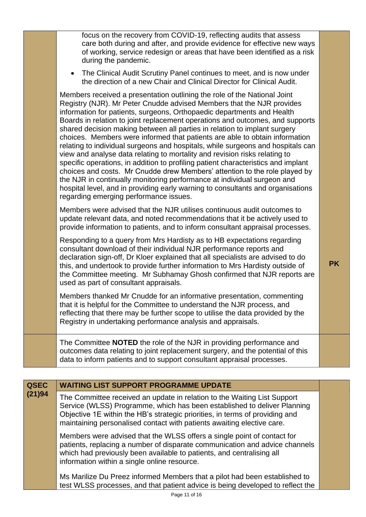|             | focus on the recovery from COVID-19, reflecting audits that assess<br>care both during and after, and provide evidence for effective new ways<br>of working, service redesign or areas that have been identified as a risk<br>during the pandemic.                                                                                                                                                                                                                                                                                                                                                                                                                                                                                                                                                                                                                                                                                                                                                                   |           |
|-------------|----------------------------------------------------------------------------------------------------------------------------------------------------------------------------------------------------------------------------------------------------------------------------------------------------------------------------------------------------------------------------------------------------------------------------------------------------------------------------------------------------------------------------------------------------------------------------------------------------------------------------------------------------------------------------------------------------------------------------------------------------------------------------------------------------------------------------------------------------------------------------------------------------------------------------------------------------------------------------------------------------------------------|-----------|
|             | The Clinical Audit Scrutiny Panel continues to meet, and is now under<br>the direction of a new Chair and Clinical Director for Clinical Audit.                                                                                                                                                                                                                                                                                                                                                                                                                                                                                                                                                                                                                                                                                                                                                                                                                                                                      |           |
|             | Members received a presentation outlining the role of the National Joint<br>Registry (NJR). Mr Peter Cnudde advised Members that the NJR provides<br>information for patients, surgeons, Orthopaedic departments and Health<br>Boards in relation to joint replacement operations and outcomes, and supports<br>shared decision making between all parties in relation to implant surgery<br>choices. Members were informed that patients are able to obtain information<br>relating to individual surgeons and hospitals, while surgeons and hospitals can<br>view and analyse data relating to mortality and revision risks relating to<br>specific operations, in addition to profiling patient characteristics and implant<br>choices and costs. Mr Cnudde drew Members' attention to the role played by<br>the NJR in continually monitoring performance at individual surgeon and<br>hospital level, and in providing early warning to consultants and organisations<br>regarding emerging performance issues. |           |
|             | Members were advised that the NJR utilises continuous audit outcomes to<br>update relevant data, and noted recommendations that it be actively used to<br>provide information to patients, and to inform consultant appraisal processes.                                                                                                                                                                                                                                                                                                                                                                                                                                                                                                                                                                                                                                                                                                                                                                             |           |
|             | Responding to a query from Mrs Hardisty as to HB expectations regarding<br>consultant download of their individual NJR performance reports and<br>declaration sign-off, Dr Kloer explained that all specialists are advised to do<br>this, and undertook to provide further information to Mrs Hardisty outside of<br>the Committee meeting. Mr Subhamay Ghosh confirmed that NJR reports are<br>used as part of consultant appraisals.                                                                                                                                                                                                                                                                                                                                                                                                                                                                                                                                                                              | <b>PK</b> |
|             | Members thanked Mr Cnudde for an informative presentation, commenting<br>that it is helpful for the Committee to understand the NJR process, and<br>reflecting that there may be further scope to utilise the data provided by the<br>Registry in undertaking performance analysis and appraisals.                                                                                                                                                                                                                                                                                                                                                                                                                                                                                                                                                                                                                                                                                                                   |           |
|             | The Committee <b>NOTED</b> the role of the NJR in providing performance and<br>outcomes data relating to joint replacement surgery, and the potential of this<br>data to inform patients and to support consultant appraisal processes.                                                                                                                                                                                                                                                                                                                                                                                                                                                                                                                                                                                                                                                                                                                                                                              |           |
|             |                                                                                                                                                                                                                                                                                                                                                                                                                                                                                                                                                                                                                                                                                                                                                                                                                                                                                                                                                                                                                      |           |
| <b>QSEC</b> | <b>WAITING LIST SUPPORT PROGRAMME UPDATE</b>                                                                                                                                                                                                                                                                                                                                                                                                                                                                                                                                                                                                                                                                                                                                                                                                                                                                                                                                                                         |           |
| (21)94      | The Committee received an update in relation to the Waiting List Support<br>Service (WLSS) Programme, which has been established to deliver Planning<br>Objective 1E within the HB's strategic priorities, in terms of providing and<br>maintaining personalised contact with patients awaiting elective care.                                                                                                                                                                                                                                                                                                                                                                                                                                                                                                                                                                                                                                                                                                       |           |
|             | Members were advised that the WLSS offers a single point of contact for                                                                                                                                                                                                                                                                                                                                                                                                                                                                                                                                                                                                                                                                                                                                                                                                                                                                                                                                              |           |

patients, replacing a number of disparate communication and advice channels which had previously been available to patients, and centralising all information within a single online resource.

Ms Marilize Du Preez informed Members that a pilot had been established to test WLSS processes, and that patient advice is being developed to reflect the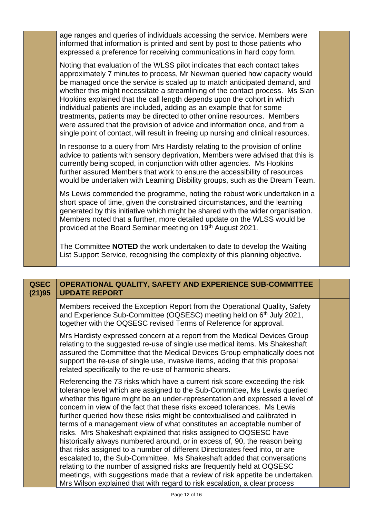| age ranges and queries of individuals accessing the service. Members were<br>informed that information is printed and sent by post to those patients who<br>expressed a preference for receiving communications in hard copy form.                                                                                                                                                                                                                                                                                                                                                                                                                                                                                     |  |
|------------------------------------------------------------------------------------------------------------------------------------------------------------------------------------------------------------------------------------------------------------------------------------------------------------------------------------------------------------------------------------------------------------------------------------------------------------------------------------------------------------------------------------------------------------------------------------------------------------------------------------------------------------------------------------------------------------------------|--|
| Noting that evaluation of the WLSS pilot indicates that each contact takes<br>approximately 7 minutes to process, Mr Newman queried how capacity would<br>be managed once the service is scaled up to match anticipated demand, and<br>whether this might necessitate a streamlining of the contact process. Ms Sian<br>Hopkins explained that the call length depends upon the cohort in which<br>individual patients are included, adding as an example that for some<br>treatments, patients may be directed to other online resources. Members<br>were assured that the provision of advice and information once, and from a<br>single point of contact, will result in freeing up nursing and clinical resources. |  |
| In response to a query from Mrs Hardisty relating to the provision of online<br>advice to patients with sensory deprivation, Members were advised that this is<br>currently being scoped, in conjunction with other agencies. Ms Hopkins<br>further assured Members that work to ensure the accessibility of resources<br>would be undertaken with Learning Disbility groups, such as the Dream Team.                                                                                                                                                                                                                                                                                                                  |  |
| Ms Lewis commended the programme, noting the robust work undertaken in a<br>short space of time, given the constrained circumstances, and the learning<br>generated by this initiative which might be shared with the wider organisation.<br>Members noted that a further, more detailed update on the WLSS would be<br>provided at the Board Seminar meeting on 19th August 2021.                                                                                                                                                                                                                                                                                                                                     |  |
| The Committee <b>NOTED</b> the work undertaken to date to develop the Waiting<br>List Support Service, recognising the complexity of this planning objective.                                                                                                                                                                                                                                                                                                                                                                                                                                                                                                                                                          |  |

| <b>QSEC</b><br>(21)95 | OPERATIONAL QUALITY, SAFETY AND EXPERIENCE SUB-COMMITTEE<br><b>UPDATE REPORT</b>                                                                                                                                                                                                                                                                                                                                                                                                                                                                                                                                                                                                                                                                                                                                                                                                                                                                                                                                                   |  |
|-----------------------|------------------------------------------------------------------------------------------------------------------------------------------------------------------------------------------------------------------------------------------------------------------------------------------------------------------------------------------------------------------------------------------------------------------------------------------------------------------------------------------------------------------------------------------------------------------------------------------------------------------------------------------------------------------------------------------------------------------------------------------------------------------------------------------------------------------------------------------------------------------------------------------------------------------------------------------------------------------------------------------------------------------------------------|--|
|                       | Members received the Exception Report from the Operational Quality, Safety<br>and Experience Sub-Committee (OQSESC) meeting held on 6 <sup>th</sup> July 2021,<br>together with the OQSESC revised Terms of Reference for approval.                                                                                                                                                                                                                                                                                                                                                                                                                                                                                                                                                                                                                                                                                                                                                                                                |  |
|                       | Mrs Hardisty expressed concern at a report from the Medical Devices Group<br>relating to the suggested re-use of single use medical items. Ms Shakeshaft<br>assured the Committee that the Medical Devices Group emphatically does not<br>support the re-use of single use, invasive items, adding that this proposal<br>related specifically to the re-use of harmonic shears.                                                                                                                                                                                                                                                                                                                                                                                                                                                                                                                                                                                                                                                    |  |
|                       | Referencing the 73 risks which have a current risk score exceeding the risk<br>tolerance level which are assigned to the Sub-Committee, Ms Lewis queried<br>whether this figure might be an under-representation and expressed a level of<br>concern in view of the fact that these risks exceed tolerances. Ms Lewis<br>further queried how these risks might be contextualised and calibrated in<br>terms of a management view of what constitutes an acceptable number of<br>risks. Mrs Shakeshaft explained that risks assigned to OQSESC have<br>historically always numbered around, or in excess of, 90, the reason being<br>that risks assigned to a number of different Directorates feed into, or are<br>escalated to, the Sub-Committee. Ms Shakeshaft added that conversations<br>relating to the number of assigned risks are frequently held at OQSESC<br>meetings, with suggestions made that a review of risk appetite be undertaken.<br>Mrs Wilson explained that with regard to risk escalation, a clear process |  |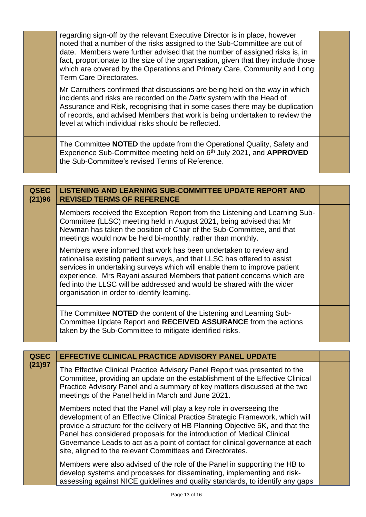| fact, proportionate to the size of the organisation, given that they include those<br>which are covered by the Operations and Primary Care, Community and Long<br>Mr Carruthers confirmed that discussions are being held on the way in which<br>Assurance and Risk, recognising that in some cases there may be duplication<br>of records, and advised Members that work is being undertaken to review the |
|-------------------------------------------------------------------------------------------------------------------------------------------------------------------------------------------------------------------------------------------------------------------------------------------------------------------------------------------------------------------------------------------------------------|
|                                                                                                                                                                                                                                                                                                                                                                                                             |
|                                                                                                                                                                                                                                                                                                                                                                                                             |
| date. Members were further advised that the number of assigned risks is, in<br>The Committee NOTED the update from the Operational Quality, Safety and<br>Experience Sub-Committee meeting held on 6 <sup>th</sup> July 2021, and APPROVED                                                                                                                                                                  |

| <b>QSEC</b><br>(21)96 | <b>LISTENING AND LEARNING SUB-COMMITTEE UPDATE REPORT AND</b><br><b>REVISED TERMS OF REFERENCE</b>                                                                                                                                                                                                                                                                                                                             |  |
|-----------------------|--------------------------------------------------------------------------------------------------------------------------------------------------------------------------------------------------------------------------------------------------------------------------------------------------------------------------------------------------------------------------------------------------------------------------------|--|
|                       | Members received the Exception Report from the Listening and Learning Sub-<br>Committee (LLSC) meeting held in August 2021, being advised that Mr<br>Newman has taken the position of Chair of the Sub-Committee, and that<br>meetings would now be held bi-monthly, rather than monthly.                                                                                                                                      |  |
|                       | Members were informed that work has been undertaken to review and<br>rationalise existing patient surveys, and that LLSC has offered to assist<br>services in undertaking surveys which will enable them to improve patient<br>experience. Mrs Rayani assured Members that patient concerns which are<br>fed into the LLSC will be addressed and would be shared with the wider<br>organisation in order to identify learning. |  |
|                       | The Committee <b>NOTED</b> the content of the Listening and Learning Sub-<br>Committee Update Report and RECEIVED ASSURANCE from the actions<br>taken by the Sub-Committee to mitigate identified risks.                                                                                                                                                                                                                       |  |

| <b>QSEC</b><br>(21)97 | EFFECTIVE CLINICAL PRACTICE ADVISORY PANEL UPDATE                                                                                                                                                                                                                                                                                                                                                                                                                |  |
|-----------------------|------------------------------------------------------------------------------------------------------------------------------------------------------------------------------------------------------------------------------------------------------------------------------------------------------------------------------------------------------------------------------------------------------------------------------------------------------------------|--|
|                       | The Effective Clinical Practice Advisory Panel Report was presented to the<br>Committee, providing an update on the establishment of the Effective Clinical<br>Practice Advisory Panel and a summary of key matters discussed at the two<br>meetings of the Panel held in March and June 2021.                                                                                                                                                                   |  |
|                       | Members noted that the Panel will play a key role in overseeing the<br>development of an Effective Clinical Practice Strategic Framework, which will<br>provide a structure for the delivery of HB Planning Objective 5K, and that the<br>Panel has considered proposals for the introduction of Medical Clinical<br>Governance Leads to act as a point of contact for clinical governance at each<br>site, aligned to the relevant Committees and Directorates. |  |
|                       | Members were also advised of the role of the Panel in supporting the HB to<br>develop systems and processes for disseminating, implementing and risk-<br>assessing against NICE guidelines and quality standards, to identify any gaps                                                                                                                                                                                                                           |  |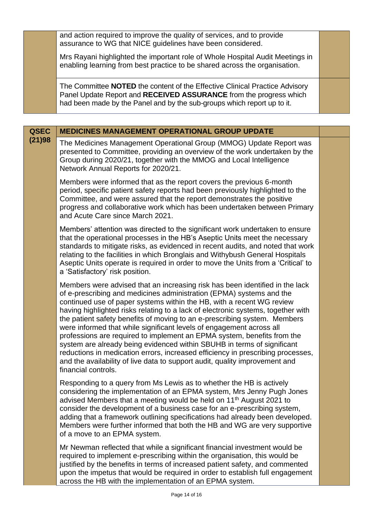and action required to improve the quality of services, and to provide assurance to WG that NICE guidelines have been considered.

Mrs Rayani highlighted the important role of Whole Hospital Audit Meetings in enabling learning from best practice to be shared across the organisation.

The Committee **NOTED** the content of the Effective Clinical Practice Advisory Panel Update Report and **RECEIVED ASSURANCE** from the progress which had been made by the Panel and by the sub-groups which report up to it.

| <b>QSEC</b> | <b>MEDICINES MANAGEMENT OPERATIONAL GROUP UPDATE</b>                                                                                                                                                                                                                                                                                                                                                                                                                                                                                                                                                                                                                                                                                                                                                                  |  |
|-------------|-----------------------------------------------------------------------------------------------------------------------------------------------------------------------------------------------------------------------------------------------------------------------------------------------------------------------------------------------------------------------------------------------------------------------------------------------------------------------------------------------------------------------------------------------------------------------------------------------------------------------------------------------------------------------------------------------------------------------------------------------------------------------------------------------------------------------|--|
| (21)98      | The Medicines Management Operational Group (MMOG) Update Report was<br>presented to Committee, providing an overview of the work undertaken by the<br>Group during 2020/21, together with the MMOG and Local Intelligence<br>Network Annual Reports for 2020/21.                                                                                                                                                                                                                                                                                                                                                                                                                                                                                                                                                      |  |
|             | Members were informed that as the report covers the previous 6-month<br>period, specific patient safety reports had been previously highlighted to the<br>Committee, and were assured that the report demonstrates the positive<br>progress and collaborative work which has been undertaken between Primary<br>and Acute Care since March 2021.                                                                                                                                                                                                                                                                                                                                                                                                                                                                      |  |
|             | Members' attention was directed to the significant work undertaken to ensure<br>that the operational processes in the HB's Aseptic Units meet the necessary<br>standards to mitigate risks, as evidenced in recent audits, and noted that work<br>relating to the facilities in which Bronglais and Withybush General Hospitals<br>Aseptic Units operate is required in order to move the Units from a 'Critical' to<br>a 'Satisfactory' risk position.                                                                                                                                                                                                                                                                                                                                                               |  |
|             | Members were advised that an increasing risk has been identified in the lack<br>of e-prescribing and medicines administration (EPMA) systems and the<br>continued use of paper systems within the HB, with a recent WG review<br>having highlighted risks relating to a lack of electronic systems, together with<br>the patient safety benefits of moving to an e-prescribing system. Members<br>were informed that while significant levels of engagement across all<br>professions are required to implement an EPMA system, benefits from the<br>system are already being evidenced within SBUHB in terms of significant<br>reductions in medication errors, increased efficiency in prescribing processes,<br>and the availability of live data to support audit, quality improvement and<br>financial controls. |  |
|             | Responding to a query from Ms Lewis as to whether the HB is actively<br>considering the implementation of an EPMA system, Mrs Jenny Pugh Jones<br>advised Members that a meeting would be held on 11 <sup>th</sup> August 2021 to<br>consider the development of a business case for an e-prescribing system,<br>adding that a framework outlining specifications had already been developed.<br>Members were further informed that both the HB and WG are very supportive<br>of a move to an EPMA system.                                                                                                                                                                                                                                                                                                            |  |
|             | Mr Newman reflected that while a significant financial investment would be<br>required to implement e-prescribing within the organisation, this would be<br>justified by the benefits in terms of increased patient safety, and commented<br>upon the impetus that would be required in order to establish full engagement<br>across the HB with the implementation of an EPMA system.                                                                                                                                                                                                                                                                                                                                                                                                                                |  |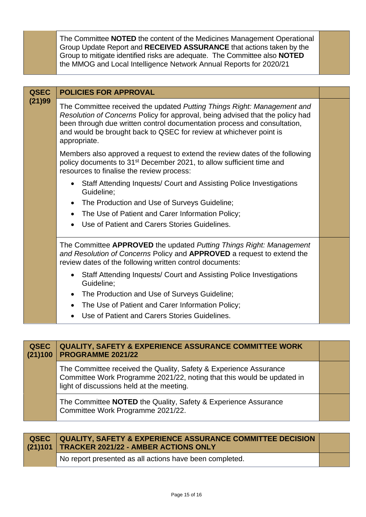The Committee **NOTED** the content of the Medicines Management Operational Group Update Report and **RECEIVED ASSURANCE** that actions taken by the Group to mitigate identified risks are adequate. The Committee also **NOTED** the MMOG and Local Intelligence Network Annual Reports for 2020/21

| <b>QSEC</b><br>(21)99 | <b>POLICIES FOR APPROVAL</b>                                                                                                                                                                                                                                                                                               |  |
|-----------------------|----------------------------------------------------------------------------------------------------------------------------------------------------------------------------------------------------------------------------------------------------------------------------------------------------------------------------|--|
|                       | The Committee received the updated Putting Things Right: Management and<br>Resolution of Concerns Policy for approval, being advised that the policy had<br>been through due written control documentation process and consultation,<br>and would be brought back to QSEC for review at whichever point is<br>appropriate. |  |
|                       | Members also approved a request to extend the review dates of the following<br>policy documents to 31 <sup>st</sup> December 2021, to allow sufficient time and<br>resources to finalise the review process:                                                                                                               |  |
|                       | Staff Attending Inquests/ Court and Assisting Police Investigations<br>Guideline;                                                                                                                                                                                                                                          |  |
|                       | The Production and Use of Surveys Guideline;                                                                                                                                                                                                                                                                               |  |
|                       | The Use of Patient and Carer Information Policy;<br>$\bullet$                                                                                                                                                                                                                                                              |  |
|                       | Use of Patient and Carers Stories Guidelines.                                                                                                                                                                                                                                                                              |  |
|                       | The Committee APPROVED the updated Putting Things Right: Management<br>and Resolution of Concerns Policy and APPROVED a request to extend the<br>review dates of the following written control documents:                                                                                                                  |  |
|                       | Staff Attending Inquests/ Court and Assisting Police Investigations<br>Guideline;                                                                                                                                                                                                                                          |  |
|                       | The Production and Use of Surveys Guideline;                                                                                                                                                                                                                                                                               |  |
|                       | The Use of Patient and Carer Information Policy;                                                                                                                                                                                                                                                                           |  |
|                       | Use of Patient and Carers Stories Guidelines.                                                                                                                                                                                                                                                                              |  |

| <b>QSEC</b><br>(21)100 | <b>QUALITY, SAFETY &amp; EXPERIENCE ASSURANCE COMMITTEE WORK</b><br>PROGRAMME 2021/22                                                                                                    |  |
|------------------------|------------------------------------------------------------------------------------------------------------------------------------------------------------------------------------------|--|
|                        | The Committee received the Quality, Safety & Experience Assurance<br>Committee Work Programme 2021/22, noting that this would be updated in<br>light of discussions held at the meeting. |  |
|                        | The Committee NOTED the Quality, Safety & Experience Assurance<br>Committee Work Programme 2021/22.                                                                                      |  |

| QSEC QUALITY, SAFETY & EXPERIENCE ASSURANCE COMMITTEE DECISION<br>(21)101   TRACKER 2021/22 - AMBER ACTIONS ONLY |  |
|------------------------------------------------------------------------------------------------------------------|--|
| No report presented as all actions have been completed.                                                          |  |